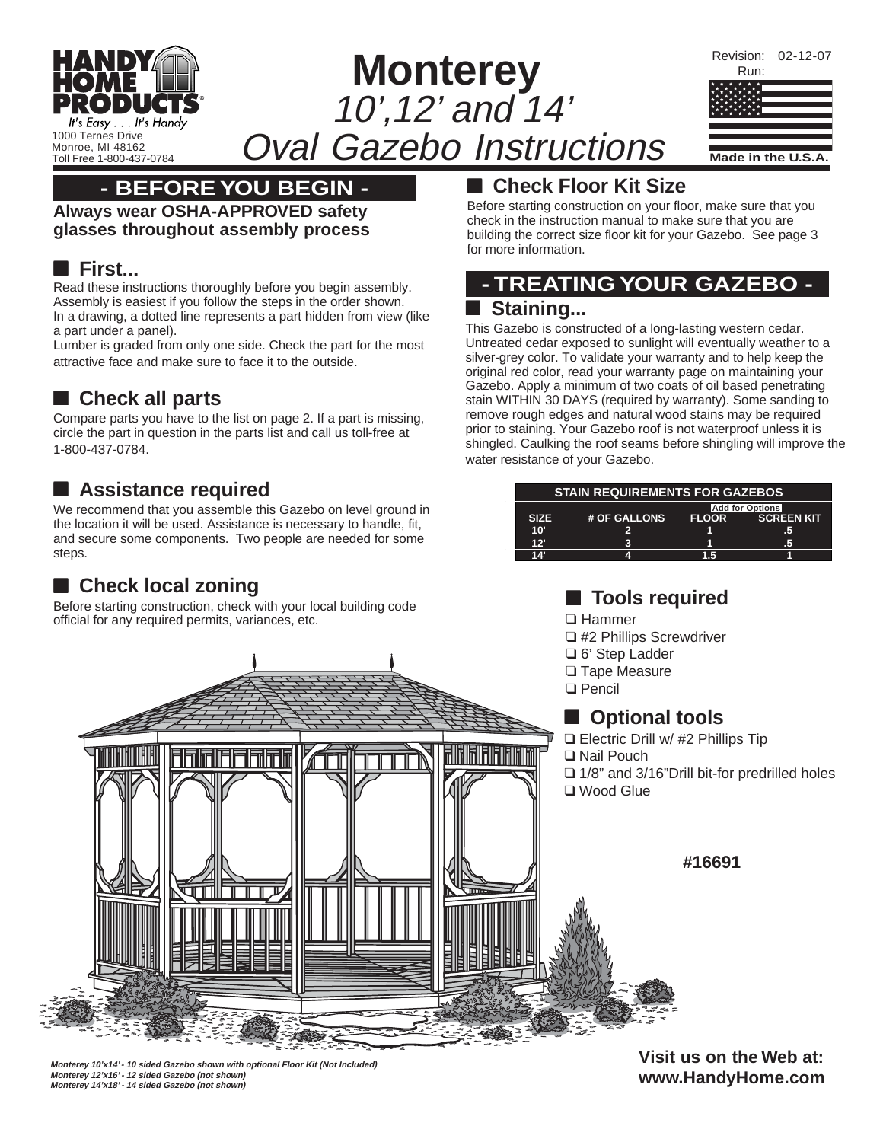

### **- BEFORE YOU BEGIN -**

**Always wear OSHA-APPROVED safety glasses throughout assembly process**

#### ■ **First...**

Read these instructions thoroughly before you begin assembly. Assembly is easiest if you follow the steps in the order shown. In a drawing, a dotted line represents a part hidden from view (like a part under a panel).

Lumber is graded from only one side. Check the part for the most attractive face and make sure to face it to the outside.

### ■ Check all parts

Compare parts you have to the list on page 2. If a part is missing, circle the part in question in the parts list and call us toll-free at 1-800-437-0784.

# ■ **Assistance required**

We recommend that you assemble this Gazebo on level ground in the location it will be used. Assistance is necessary to handle, fit, and secure some components. Two people are needed for some steps.

# ■ **Check local zoning**

Before starting construction, check with your local building code official for any required permits, variances, etc.

### ■ Check Floor Kit Size

Before starting construction on your floor, make sure that you check in the instruction manual to make sure that you are building the correct size floor kit for your Gazebo. See page 3 for more information.

### **- TREATING YOUR GAZEBO -** ■ **Staining...**

This Gazebo is constructed of a long-lasting western cedar. Untreated cedar exposed to sunlight will eventually weather to a silver-grey color. To validate your warranty and to help keep the original red color, read your warranty page on maintaining your Gazebo. Apply a minimum of two coats of oil based penetrating stain WITHIN 30 DAYS (required by warranty). Some sanding to remove rough edges and natural wood stains may be required prior to staining. Your Gazebo roof is not waterproof unless it is shingled. Caulking the roof seams before shingling will improve the water resistance of your Gazebo.

| <b>STAIN REQUIREMENTS FOR GAZEBOS</b> |              |              |                                             |
|---------------------------------------|--------------|--------------|---------------------------------------------|
| <b>SIZE</b>                           | # OF GALLONS | <b>FLOOR</b> | <b>Add for Options</b><br><b>SCREEN KIT</b> |
| 10'                                   |              |              | .5                                          |
| 12'                                   | c            |              | ÆТ                                          |
| 14'                                   | Δ            | 1.5          |                                             |

### ■ **Tools required**

- ❑ Hammer ❑ #2 Phillips Screwdriver ❑ 6' Step Ladder
- ❑ Tape Measure
- ❑ Pencil

### ■ **Optional tools**

- ❑ Electric Drill w/ #2 Phillips Tip
- ❑ 1/8" and 3/16"Drill bit-for predrilled holes

**#16691**

**Visit us on the Web at: www.HandyHome.com**



**Monterey 10'x14' - 10 sided Gazebo shown with optional Floor Kit (Not Included) Monterey 12'x16' - 12 sided Gazebo (not shown) Monterey 14'x18' - 14 sided Gazebo (not shown)**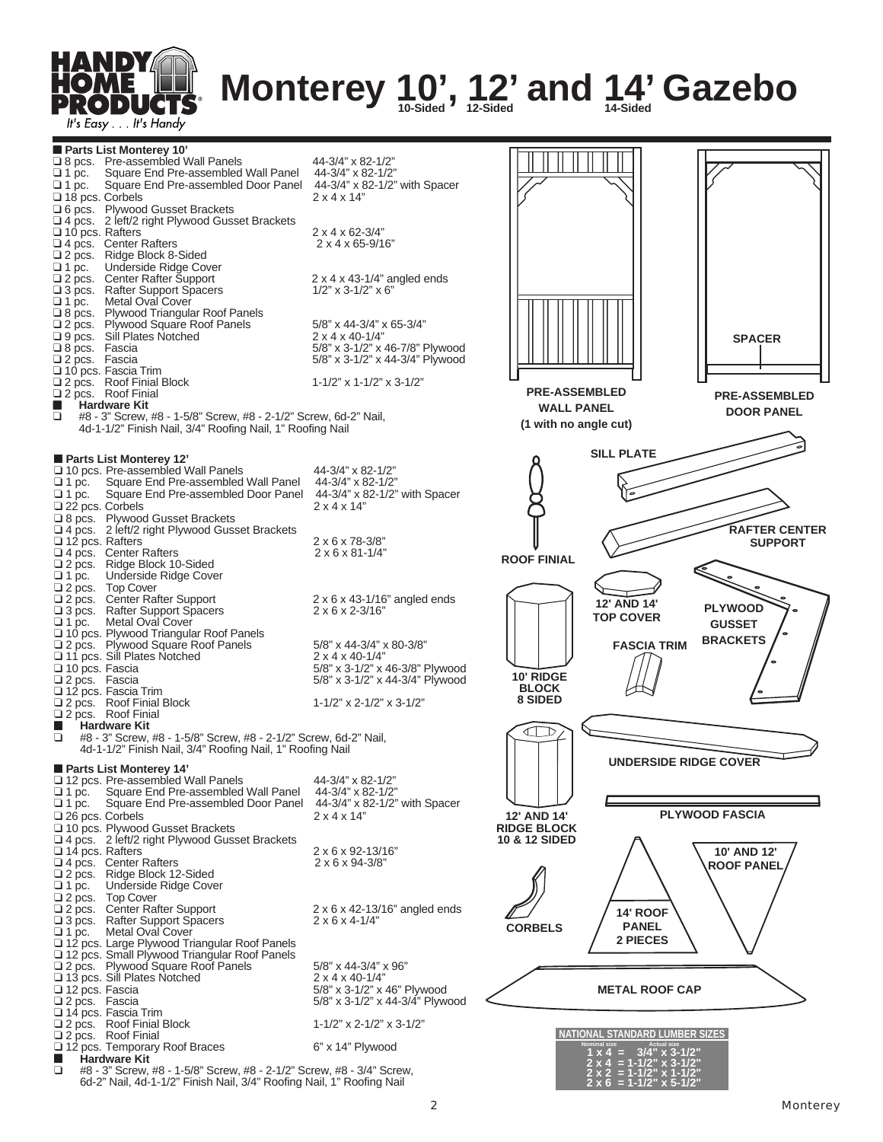

# **Monterey 10', 12' and 14' Gazebo**

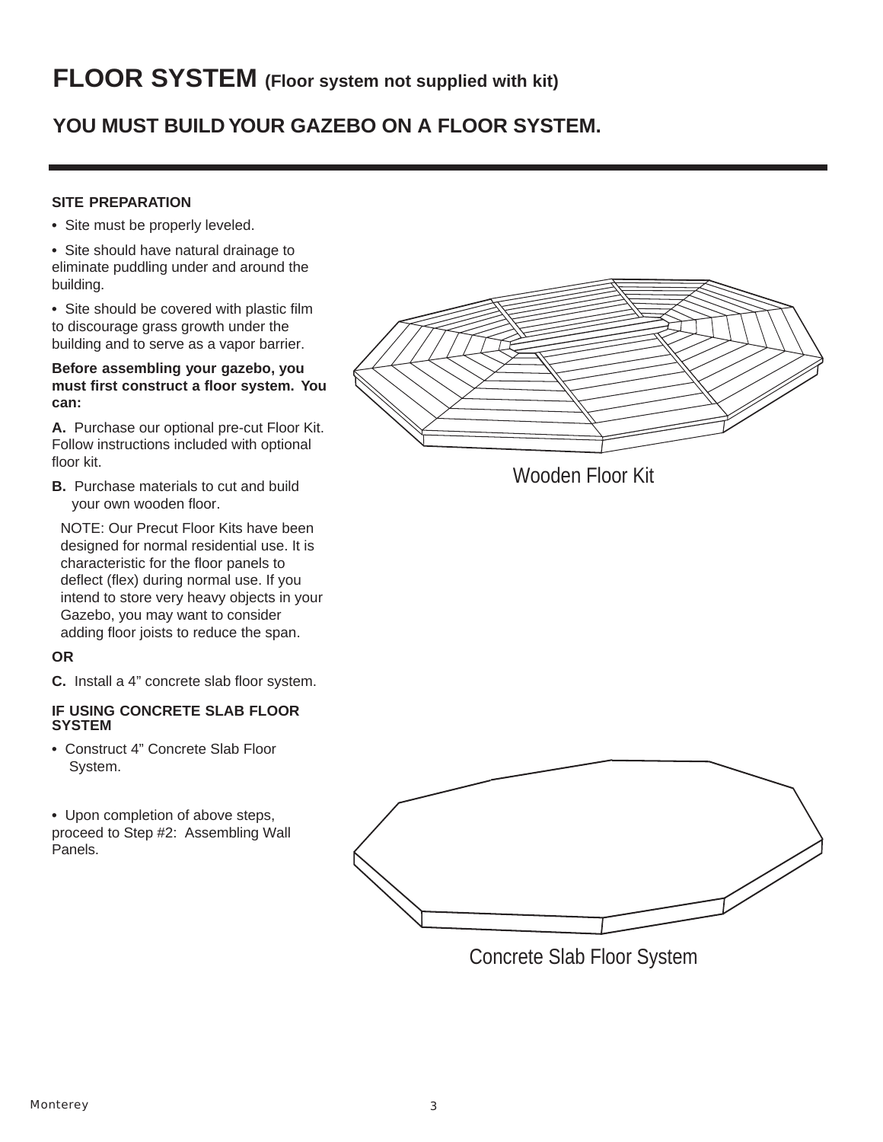# **YOU MUST BUILD YOUR GAZEBO ON A FLOOR SYSTEM.**

#### **SITE PREPARATION**

- **•** Site must be properly leveled.
- **•** Site should have natural drainage to eliminate puddling under and around the building.
- **•** Site should be covered with plastic film to discourage grass growth under the building and to serve as a vapor barrier.

#### **Before assembling your gazebo, you must first construct a floor system. You can:**

**A.** Purchase our optional pre-cut Floor Kit. Follow instructions included with optional floor kit.

**B.** Purchase materials to cut and build your own wooden floor.

NOTE: Our Precut Floor Kits have been designed for normal residential use. It is characteristic for the floor panels to deflect (flex) during normal use. If you intend to store very heavy objects in your Gazebo, you may want to consider adding floor joists to reduce the span.

#### **OR**

**C.** Install a 4" concrete slab floor system.

#### **IF USING CONCRETE SLAB FLOOR SYSTEM**

**•** Construct 4" Concrete Slab Floor System.

**•** Upon completion of above steps, proceed to Step #2: Assembling Wall Panels.







Concrete Slab Floor System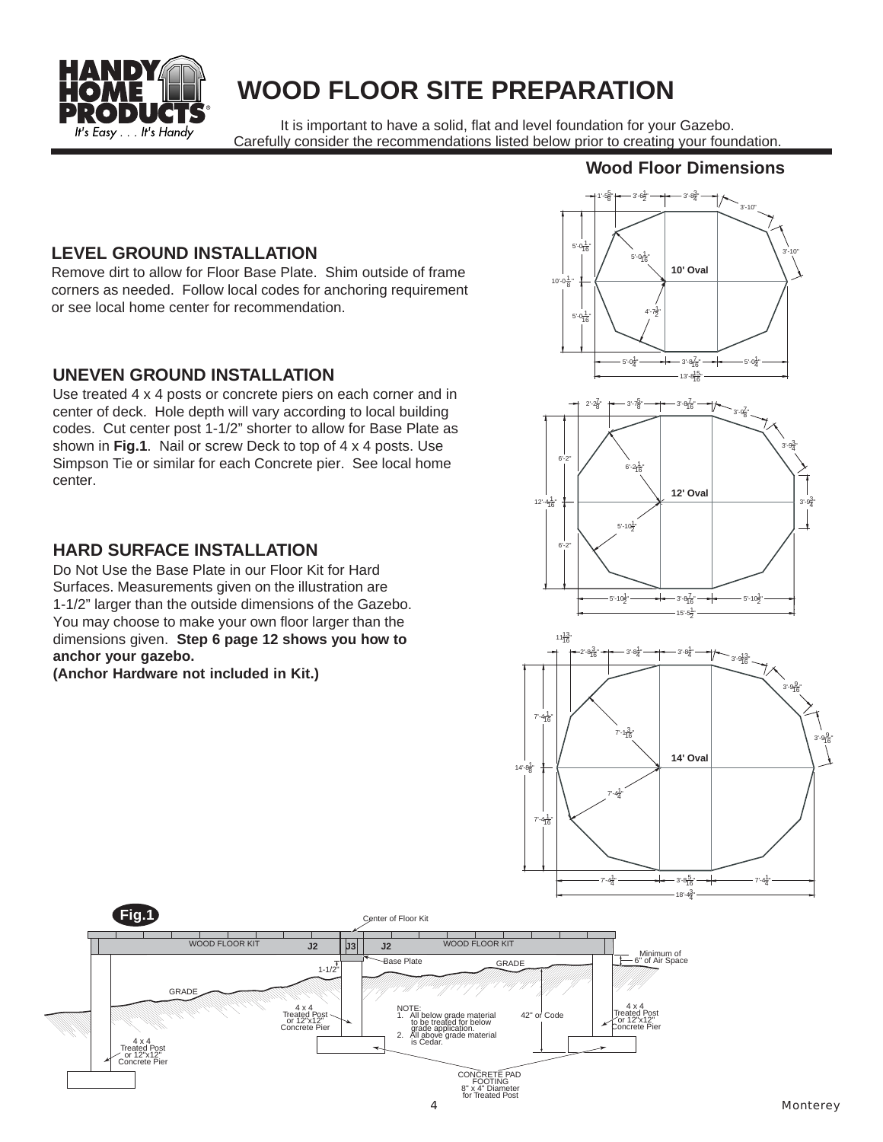

# **WOOD FLOOR SITE PREPARATION**

It is important to have a solid, flat and level foundation for your Gazebo. Carefully consider the recommendations listed below prior to creating your foundation.

#### **Wood Floor Dimensions**

#### **LEVEL GROUND INSTALLATION**

Remove dirt to allow for Floor Base Plate. Shim outside of frame corners as needed. Follow local codes for anchoring requirement or see local home center for recommendation.

#### **UNEVEN GROUND INSTALLATION**

Use treated 4 x 4 posts or concrete piers on each corner and in center of deck. Hole depth will vary according to local building codes. Cut center post 1-1/2" shorter to allow for Base Plate as shown in **Fig.1**. Nail or screw Deck to top of 4 x 4 posts. Use Simpson Tie or similar for each Concrete pier. See local home center.

#### **HARD SURFACE INSTALLATION**

Do Not Use the Base Plate in our Floor Kit for Hard Surfaces. Measurements given on the illustration are 1-1/2" larger than the outside dimensions of the Gazebo. You may choose to make your own floor larger than the dimensions given. **Step 6 page 12 shows you how to anchor your gazebo.**

**(Anchor Hardware not included in Kit.)**







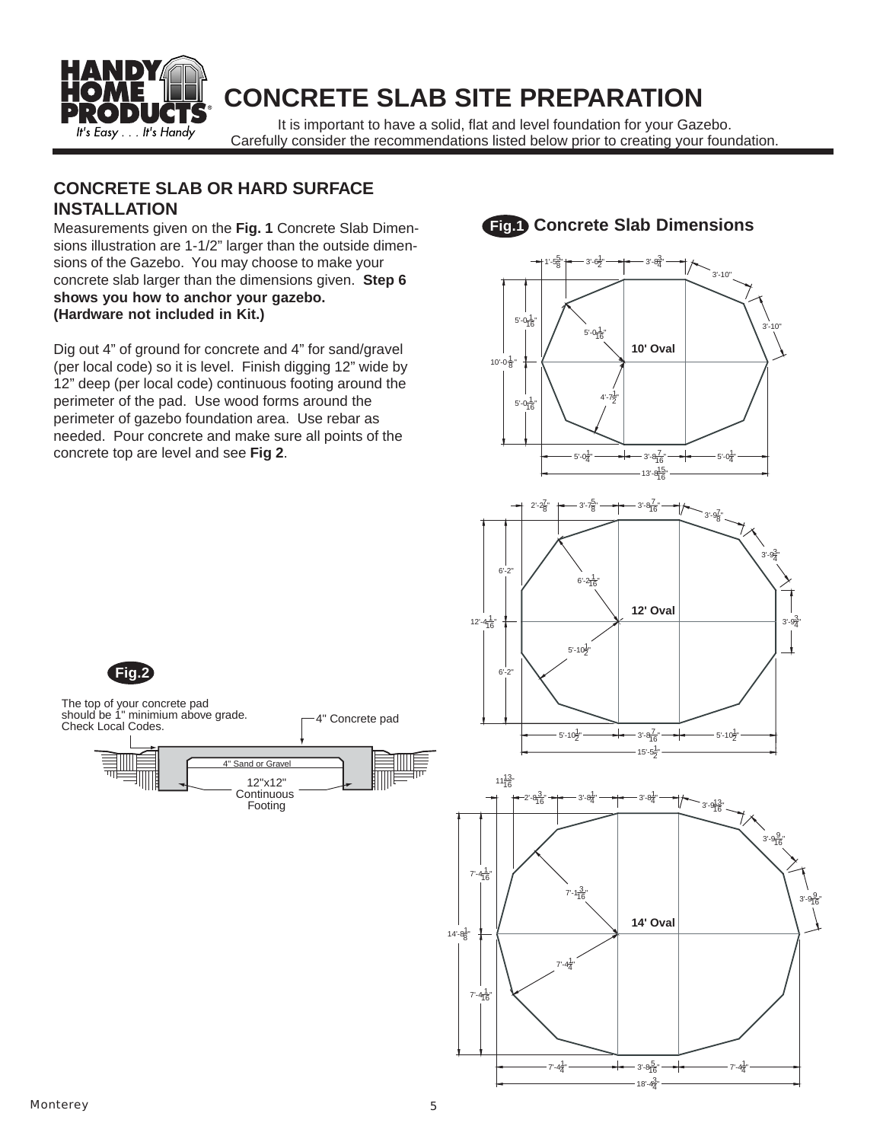

# **CONCRETE SLAB SITE PREPARATION**

It is important to have a solid, flat and level foundation for your Gazebo. Carefully consider the recommendations listed below prior to creating your foundation.

#### **CONCRETE SLAB OR HARD SURFACE INSTALLATION**

Measurements given on the **Fig. 1** Concrete Slab Dimensions illustration are 1-1/2" larger than the outside dimensions of the Gazebo. You may choose to make your concrete slab larger than the dimensions given. **Step 6 shows you how to anchor your gazebo. (Hardware not included in Kit.)**

Dig out 4" of ground for concrete and 4" for sand/gravel (per local code) so it is level. Finish digging 12" wide by 12" deep (per local code) continuous footing around the perimeter of the pad. Use wood forms around the perimeter of gazebo foundation area. Use rebar as needed. Pour concrete and make sure all points of the concrete top are level and see **Fig 2**.



 $18'-4\frac{3}{4}$ 

4"

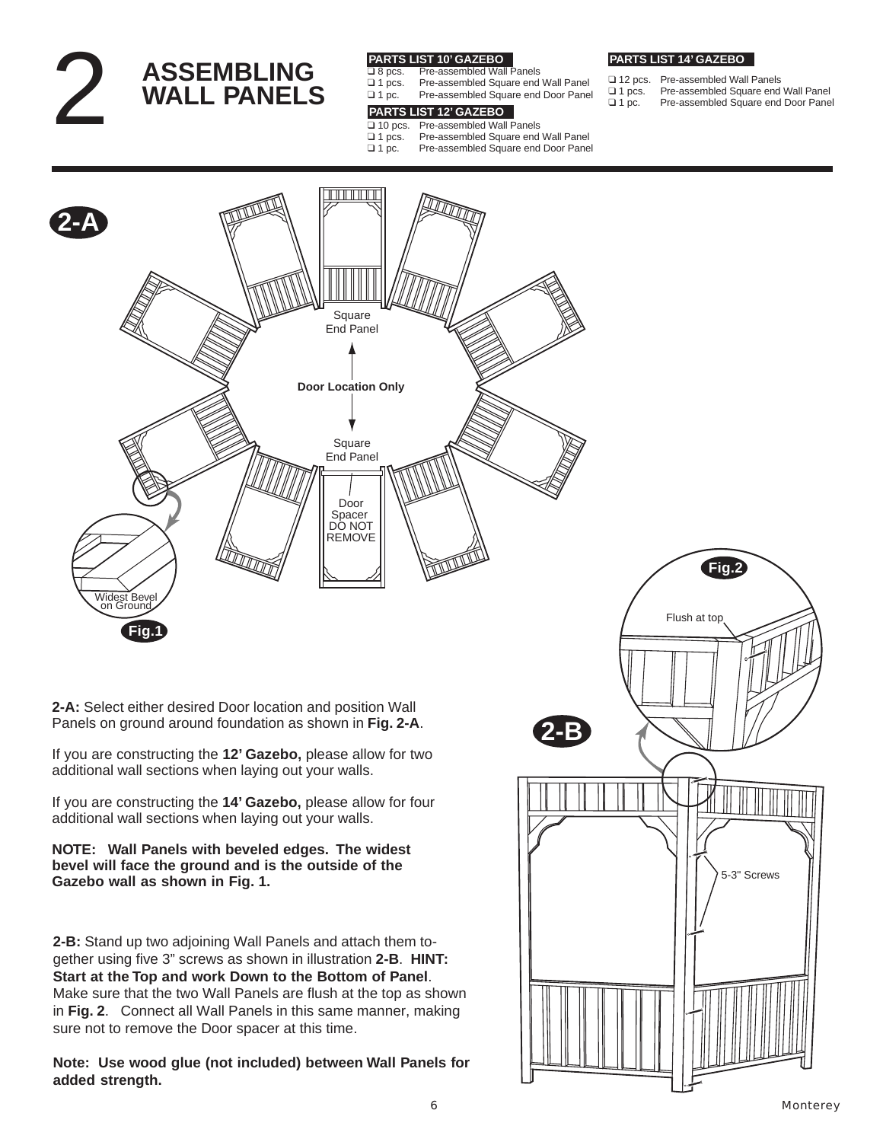2 **ASSEMBLING WALL PANELS PARTS LIST 10' GAZEBO**

- □ 8 pcs. Pre-assembled Wall Panels<br>□ 1 pcs. Pre-assembled Square end
	-
- ❑ 1 pcs. Pre-assembled Square end Wall Panel Pre-assembled Square end Door Panel

# ❑ 12 pcs. Pre-assembled Wall Panels

**PARTS LIST 14' GAZEBO**

- ❑ 1 pcs. Pre-assembled Square end Wall Panel Pre-assembled Square end Door Panel
- **PARTS LIST 12' GAZEBO**
- □ 10 pcs. Pre-assembled Wall Panels<br>□ 1 pcs. Pre-assembled Square end
- ❑ 1 pcs. Pre-assembled Square end Wall Panel Pre-assembled Square end Door Panel



**2-A:** Select either desired Door location and position Wall Panels on ground around foundation as shown in **Fig. 2-A**.

If you are constructing the **12' Gazebo,** please allow for two additional wall sections when laying out your walls.

If you are constructing the **14' Gazebo,** please allow for four additional wall sections when laying out your walls.

**NOTE: Wall Panels with beveled edges. The widest bevel will face the ground and is the outside of the Gazebo wall as shown in Fig. 1.**

**2-B:** Stand up two adjoining Wall Panels and attach them together using five 3" screws as shown in illustration **2-B**. **HINT: Start at the Top and work Down to the Bottom of Panel**. Make sure that the two Wall Panels are flush at the top as shown in **Fig. 2**. Connect all Wall Panels in this same manner, making sure not to remove the Door spacer at this time.

**Note: Use wood glue (not included) between Wall Panels for added strength.**

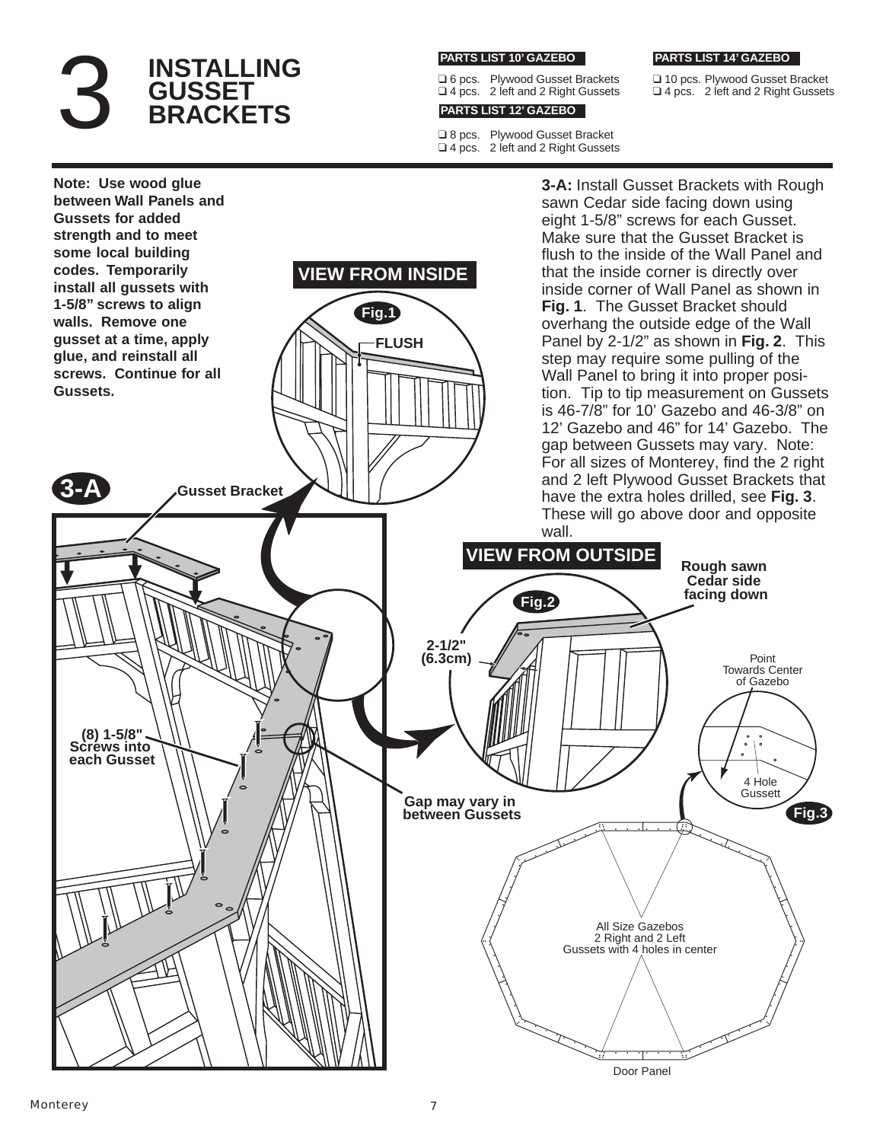# 3 INSTALLING<br>3 GUSSET<br>BRACKETS **GUSSET BRACKETS**

#### **PARTS LIST 10' GAZEBO**

❑ 6 pcs. Plywood Gusset Brackets ❑ 4 pcs. 2 left and 2 Right Gussets

#### **PARTS LIST 12' GAZEBO**

❑ 8 pcs. Plywood Gusset Bracket ❑ 4 pcs. 2 left and 2 Right Gussets

#### **PARTS LIST 14' GAZEBO**

❑ 10 pcs. Plywood Gusset Bracket ❑ 4 pcs. 2 left and 2 Right Gussets

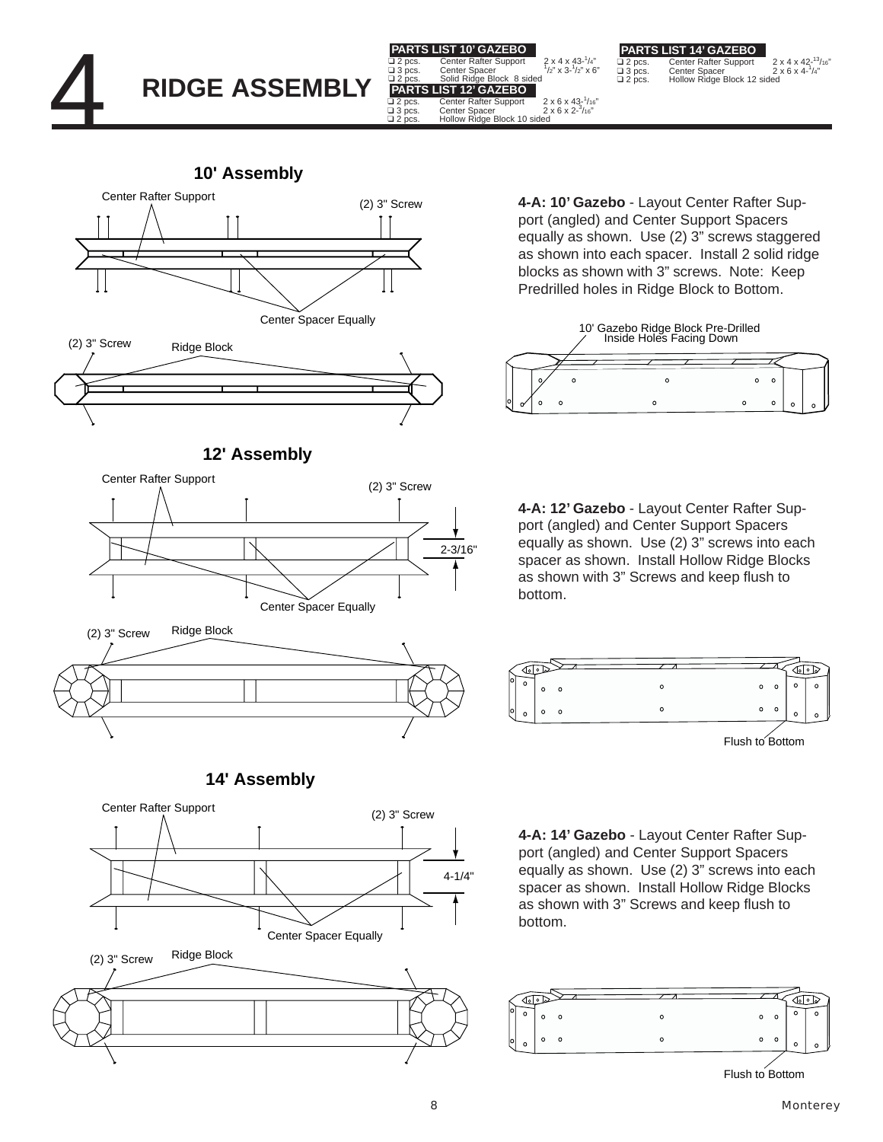

 $\overline{\square}$  2 pcs. Center Rafter Support  $\overline{\square}$  2 x 4 x 42-<sup>13</sup>/16"<br> $\overline{\square}$  3 pcs. Center Spacer 2 x 6 x 4-<sup>1</sup>/4"<br> $\overline{\square}$  2 pcs. Hollow Ridge Block 12 sided 2 x 4 x 42- $\frac{13}{16}$ "<br>2 x 6 x 4- $\frac{1}{4}$ " **PARTS LIST 14' GAZEBO**

**10' Assembly**





**12' Assembly**



**4-A: 10' Gazebo** - Layout Center Rafter Support (angled) and Center Support Spacers equally as shown. Use (2) 3" screws staggered as shown into each spacer. Install 2 solid ridge blocks as shown with 3" screws. Note: Keep Predrilled holes in Ridge Block to Bottom.

? x 4 x 43-'/4"<br>/2" x 3-<sup>1</sup>/2" x 6  $1/2$ " x 6"

- '/16"<br>/16"



**4-A: 12' Gazebo** - Layout Center Rafter Support (angled) and Center Support Spacers equally as shown. Use (2) 3" screws into each spacer as shown. Install Hollow Ridge Blocks as shown with 3" Screws and keep flush to bottom.



**4-A: 14' Gazebo** - Layout Center Rafter Support (angled) and Center Support Spacers equally as shown. Use (2) 3" screws into each spacer as shown. Install Hollow Ridge Blocks as shown with 3" Screws and keep flush to bottom.



**14' Assembly**



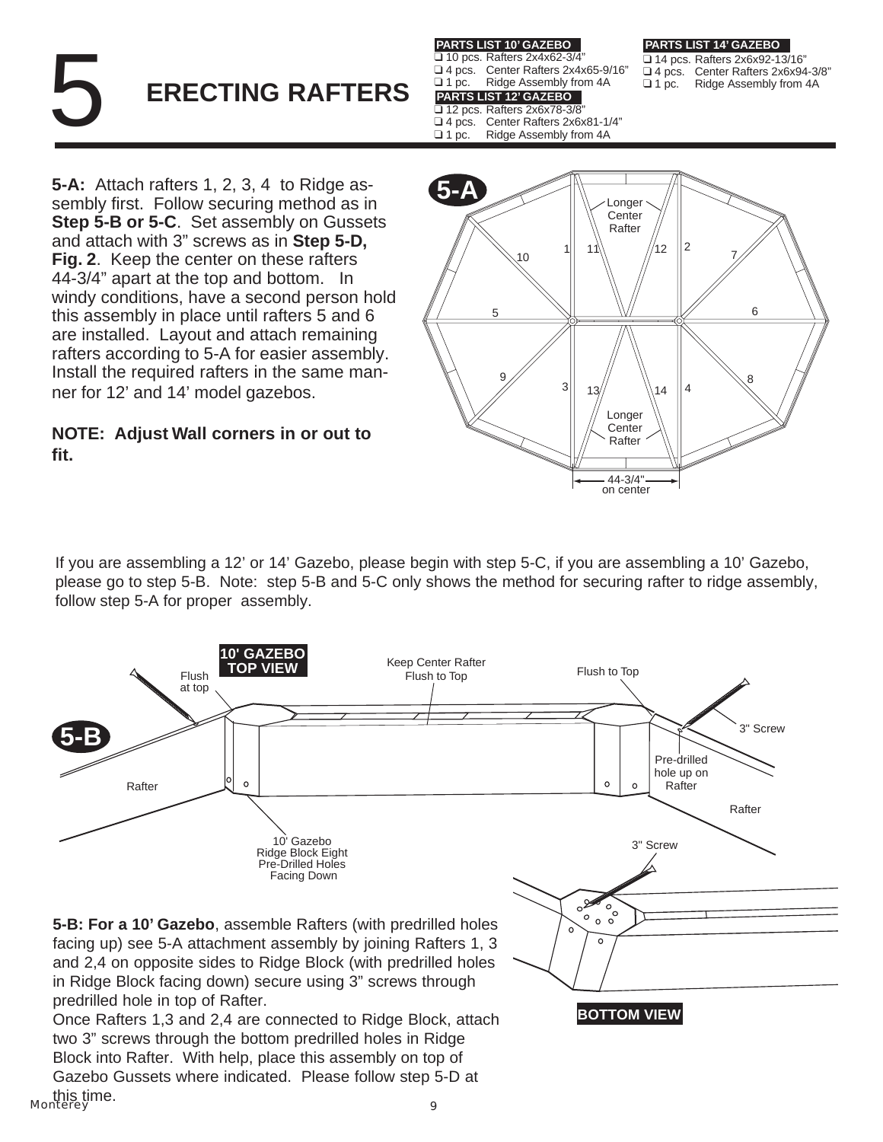# 5 **ERECTING RAFTERS**

**PARTS LIST 10' GAZEBO**

❑ 10 pcs. Rafters 2x4x62-3/4" ❑ 4 pcs. Center Rafters 2x4x65-9/16"

- ❑ 1 pc. Ridge Assembly from 4A
- **PARTS LIST 12' GAZEBO**

**PARTS LIST 14' GAZEBO**

❑ 14 pcs. Rafters 2x6x92-13/16" ❑ 4 pcs. Center Rafters 2x6x94-3/8" Ridge Assembly from 4A

❑ 12 pcs. Rafters 2x6x78-3/8"

❑ 4 pcs. Center Rafters 2x6x81-1/4"

Ridge Assembly from 4A

**5-A:** Attach rafters 1, 2, 3, 4 to Ridge assembly first. Follow securing method as in **Step 5-B or 5-C**. Set assembly on Gussets and attach with 3" screws as in **Step 5-D, Fig. 2**. Keep the center on these rafters 44-3/4" apart at the top and bottom. In windy conditions, have a second person hold this assembly in place until rafters 5 and 6 are installed. Layout and attach remaining rafters according to 5-A for easier assembly. Install the required rafters in the same manner for 12' and 14' model gazebos.

#### **NOTE: Adjust Wall corners in or out to fit.**



If you are assembling a 12' or 14' Gazebo, please begin with step 5-C, if you are assembling a 10' Gazebo, please go to step 5-B. Note: step 5-B and 5-C only shows the method for securing rafter to ridge assembly, follow step 5-A for proper assembly.



Monterey 9 this time.two 3" screws through the bottom predrilled holes in Ridge Block into Rafter. With help, place this assembly on top of Gazebo Gussets where indicated. Please follow step 5-D at

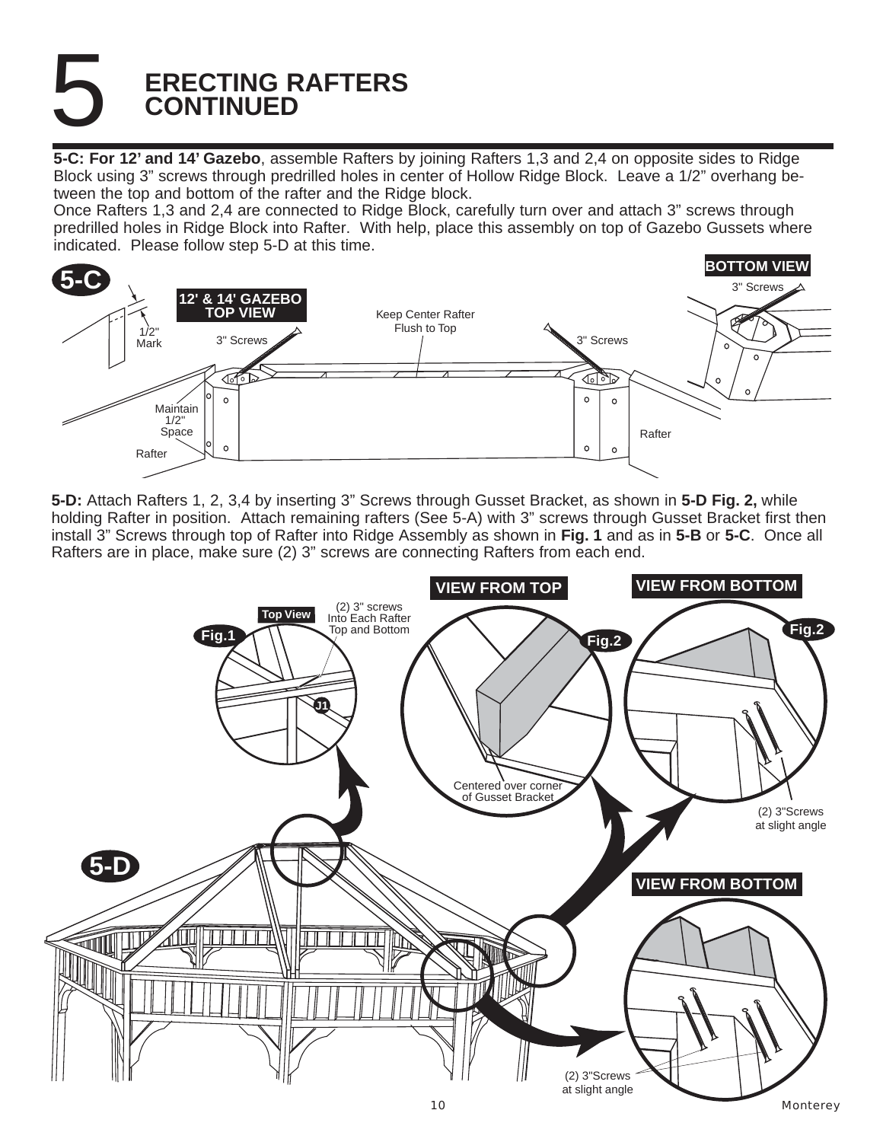# 5 **ERECTING RAFTERS CONTINUED**

**5-C: For 12' and 14' Gazebo**, assemble Rafters by joining Rafters 1,3 and 2,4 on opposite sides to Ridge Block using 3" screws through predrilled holes in center of Hollow Ridge Block. Leave a 1/2" overhang between the top and bottom of the rafter and the Ridge block.

Once Rafters 1,3 and 2,4 are connected to Ridge Block, carefully turn over and attach 3" screws through predrilled holes in Ridge Block into Rafter. With help, place this assembly on top of Gazebo Gussets where indicated. Please follow step 5-D at this time.



**5-D:** Attach Rafters 1, 2, 3,4 by inserting 3" Screws through Gusset Bracket, as shown in **5-D Fig. 2,** while holding Rafter in position. Attach remaining rafters (See 5-A) with 3" screws through Gusset Bracket first then install 3" Screws through top of Rafter into Ridge Assembly as shown in **Fig. 1** and as in **5-B** or **5-C**. Once all Rafters are in place, make sure (2) 3" screws are connecting Rafters from each end.

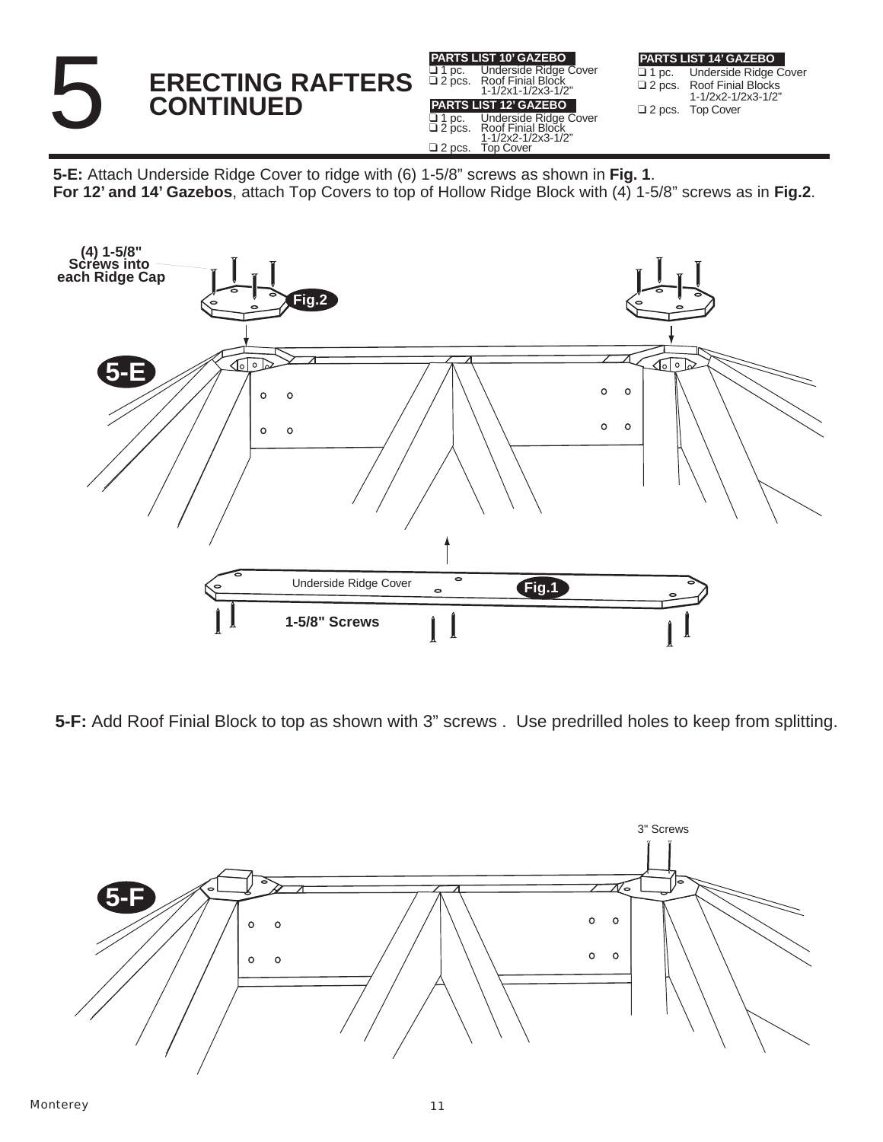

**5-E:** Attach Underside Ridge Cover to ridge with (6) 1-5/8" screws as shown in **Fig. 1**. **For 12' and 14' Gazebos**, attach Top Covers to top of Hollow Ridge Block with (4) 1-5/8" screws as in **Fig.2**.



**5-F:** Add Roof Finial Block to top as shown with 3" screws . Use predrilled holes to keep from splitting.

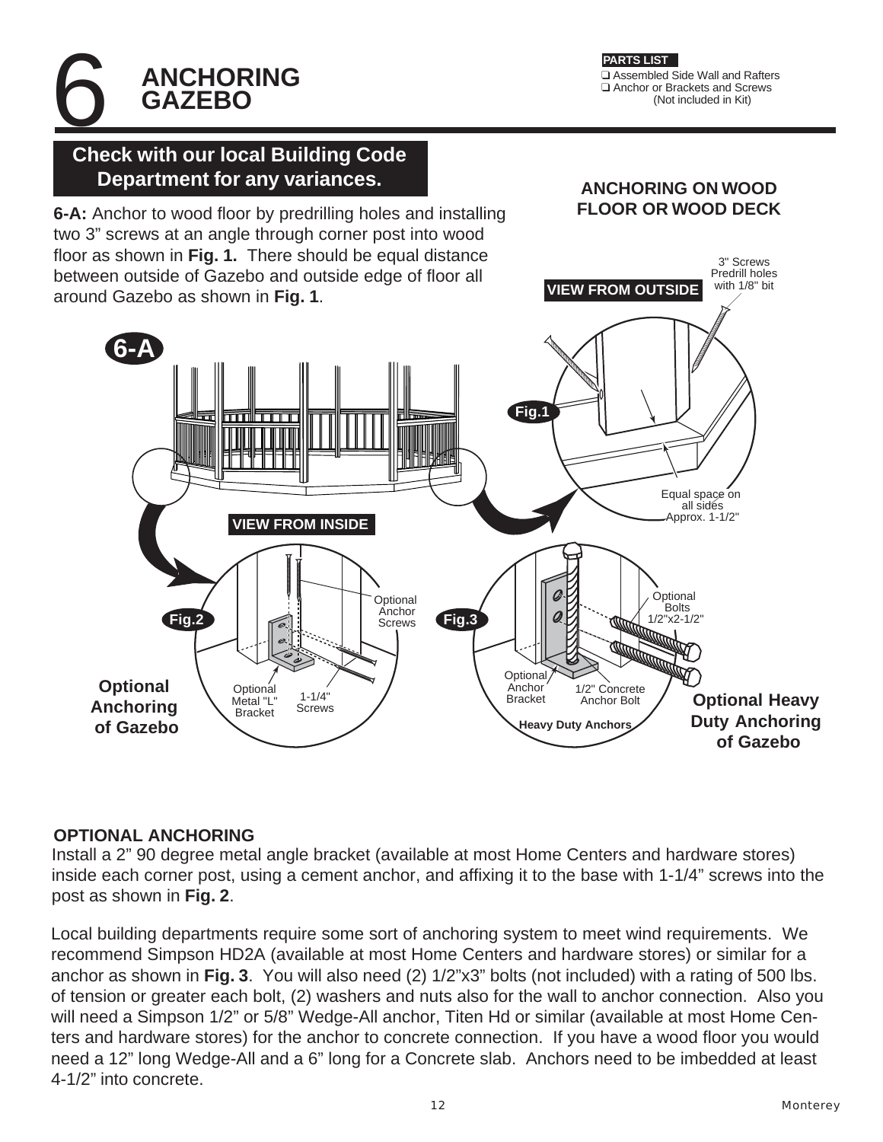❑ Assembled Side Wall and Rafters ❑ Anchor or Brackets and Screws (Not included in Kit) **PARTS LIST**

**ANCHORING ON WOOD FLOOR OR WOOD DECK**

> 3" Screws Predrill holes with 1/8" bit

**VIEW FROM OUTSIDE**

# 6 **Check with our local Building Code Department for any variances.**

**ANCHORING**

**GAZEBO**

**6-A:** Anchor to wood floor by predrilling holes and installing two 3" screws at an angle through corner post into wood floor as shown in **Fig. 1.** There should be equal distance between outside of Gazebo and outside edge of floor all around Gazebo as shown in **Fig. 1**.



#### **OPTIONAL ANCHORING**

Install a 2" 90 degree metal angle bracket (available at most Home Centers and hardware stores) inside each corner post, using a cement anchor, and affixing it to the base with 1-1/4" screws into the post as shown in **Fig. 2**.

Local building departments require some sort of anchoring system to meet wind requirements. We recommend Simpson HD2A (available at most Home Centers and hardware stores) or similar for a anchor as shown in **Fig. 3**. You will also need (2) 1/2"x3" bolts (not included) with a rating of 500 lbs. of tension or greater each bolt, (2) washers and nuts also for the wall to anchor connection. Also you will need a Simpson 1/2" or 5/8" Wedge-All anchor, Titen Hd or similar (available at most Home Centers and hardware stores) for the anchor to concrete connection. If you have a wood floor you would need a 12" long Wedge-All and a 6" long for a Concrete slab. Anchors need to be imbedded at least 4-1/2" into concrete.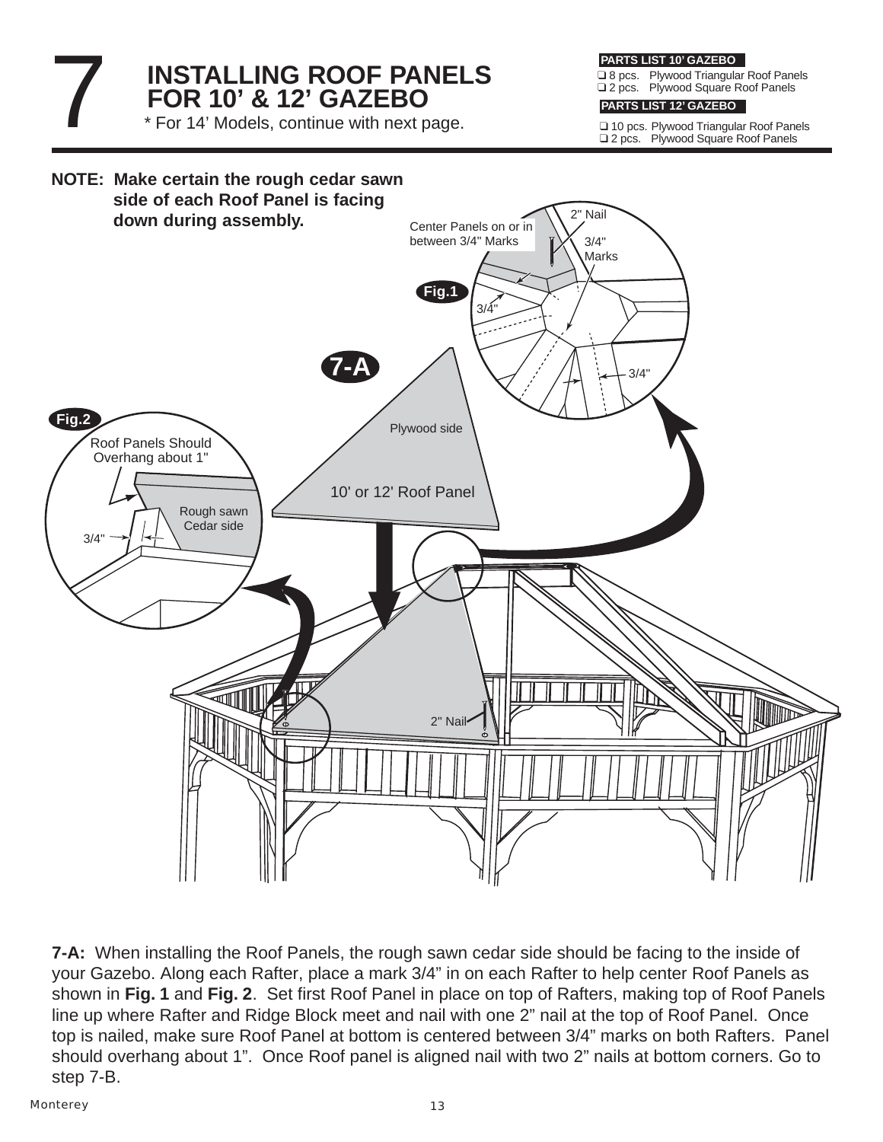# **INSTALLING ROOF PANELS FOR 10' & 12' GAZEBO** \* For 14' Models, continue with next page.

**PARTS LIST 10' GAZEBO**

❑ 8 pcs. Plywood Triangular Roof Panels ❑ 2 pcs. Plywood Square Roof Panels

#### **PARTS LIST 12' GAZEBO**

❑ 10 pcs. Plywood Triangular Roof Panels ❑ 2 pcs. Plywood Square Roof Panels



**7-A:** When installing the Roof Panels, the rough sawn cedar side should be facing to the inside of your Gazebo. Along each Rafter, place a mark 3/4" in on each Rafter to help center Roof Panels as shown in **Fig. 1** and **Fig. 2**. Set first Roof Panel in place on top of Rafters, making top of Roof Panels line up where Rafter and Ridge Block meet and nail with one 2" nail at the top of Roof Panel. Once top is nailed, make sure Roof Panel at bottom is centered between 3/4" marks on both Rafters. Panel should overhang about 1". Once Roof panel is aligned nail with two 2" nails at bottom corners. Go to step 7-B.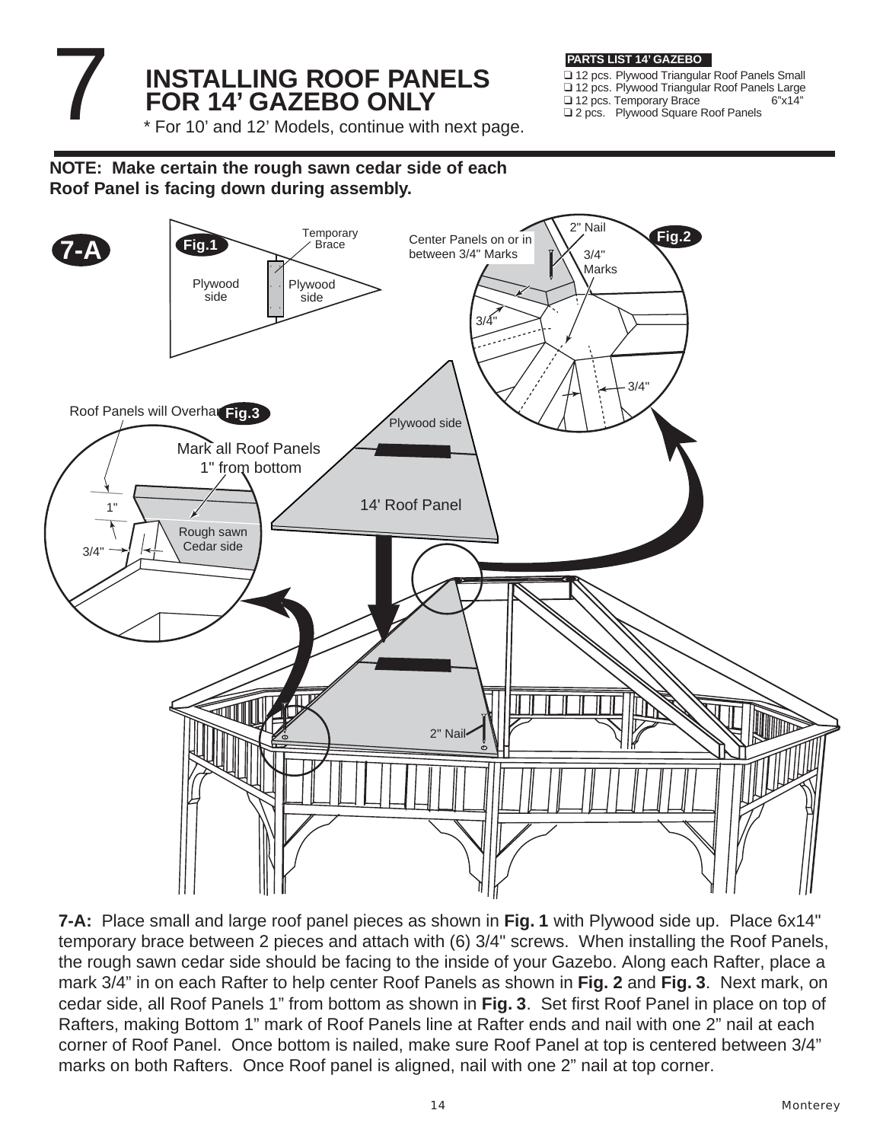# **INSTALLING ROOF PANELS FOR 14' GAZEBO ONLY**

**PARTS LIST 14' GAZEBO**

❑ 12 pcs. Plywood Triangular Roof Panels Small ❑ 12 pcs. Plywood Triangular Roof Panels Large ❑ 12 pcs. Temporary Brace 6"x14" ❑ 2 pcs. Plywood Square Roof Panels

\* For 10' and 12' Models, continue with next page.

**NOTE: Make certain the rough sawn cedar side of each Roof Panel is facing down during assembly.**



**7-A:** Place small and large roof panel pieces as shown in **Fig. 1** with Plywood side up. Place 6x14" temporary brace between 2 pieces and attach with (6) 3/4" screws. When installing the Roof Panels, the rough sawn cedar side should be facing to the inside of your Gazebo. Along each Rafter, place a mark 3/4" in on each Rafter to help center Roof Panels as shown in **Fig. 2** and **Fig. 3**. Next mark, on cedar side, all Roof Panels 1" from bottom as shown in **Fig. 3**. Set first Roof Panel in place on top of Rafters, making Bottom 1" mark of Roof Panels line at Rafter ends and nail with one 2" nail at each corner of Roof Panel. Once bottom is nailed, make sure Roof Panel at top is centered between 3/4" marks on both Rafters. Once Roof panel is aligned, nail with one 2" nail at top corner.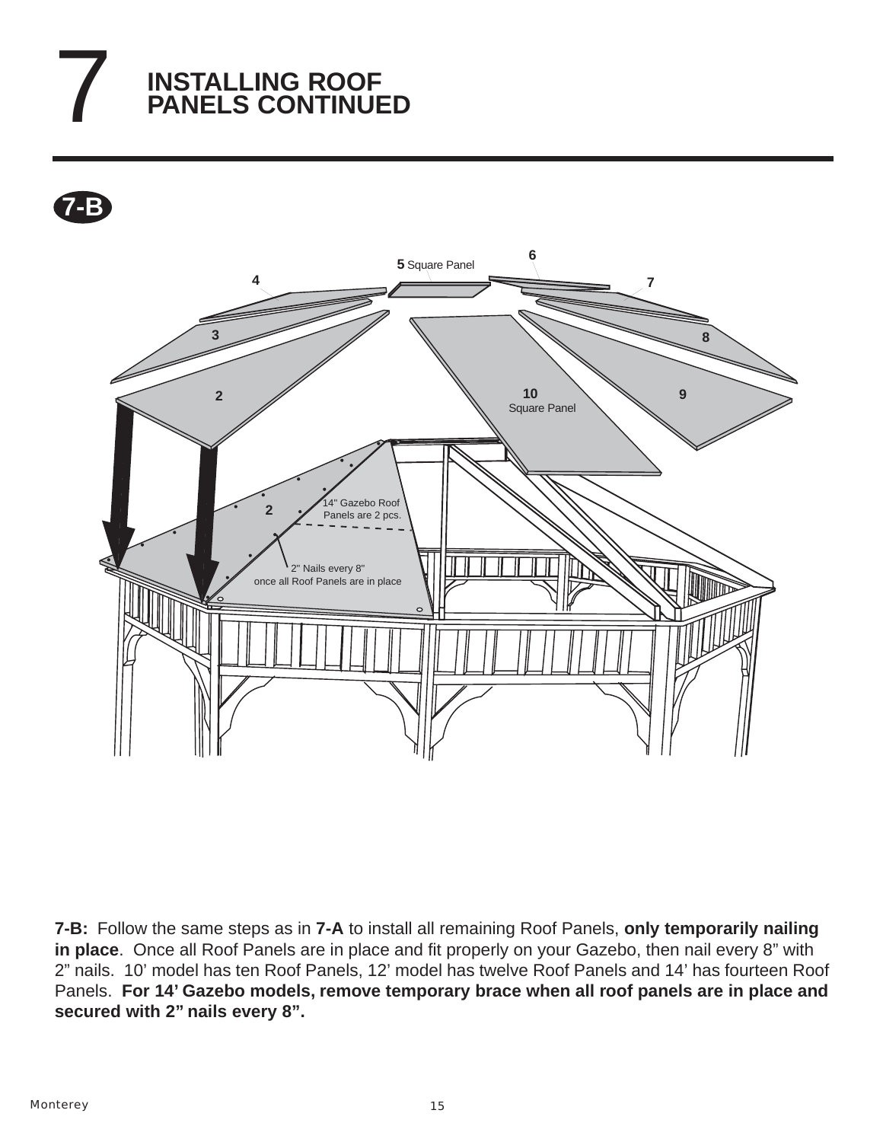# 7 **INSTALLING ROOF PANELS CONTINUED**

**7-B**



**7-B:** Follow the same steps as in **7-A** to install all remaining Roof Panels, **only temporarily nailing in place**. Once all Roof Panels are in place and fit properly on your Gazebo, then nail every 8" with 2" nails. 10' model has ten Roof Panels, 12' model has twelve Roof Panels and 14' has fourteen Roof Panels. **For 14' Gazebo models, remove temporary brace when all roof panels are in place and secured with 2" nails every 8".**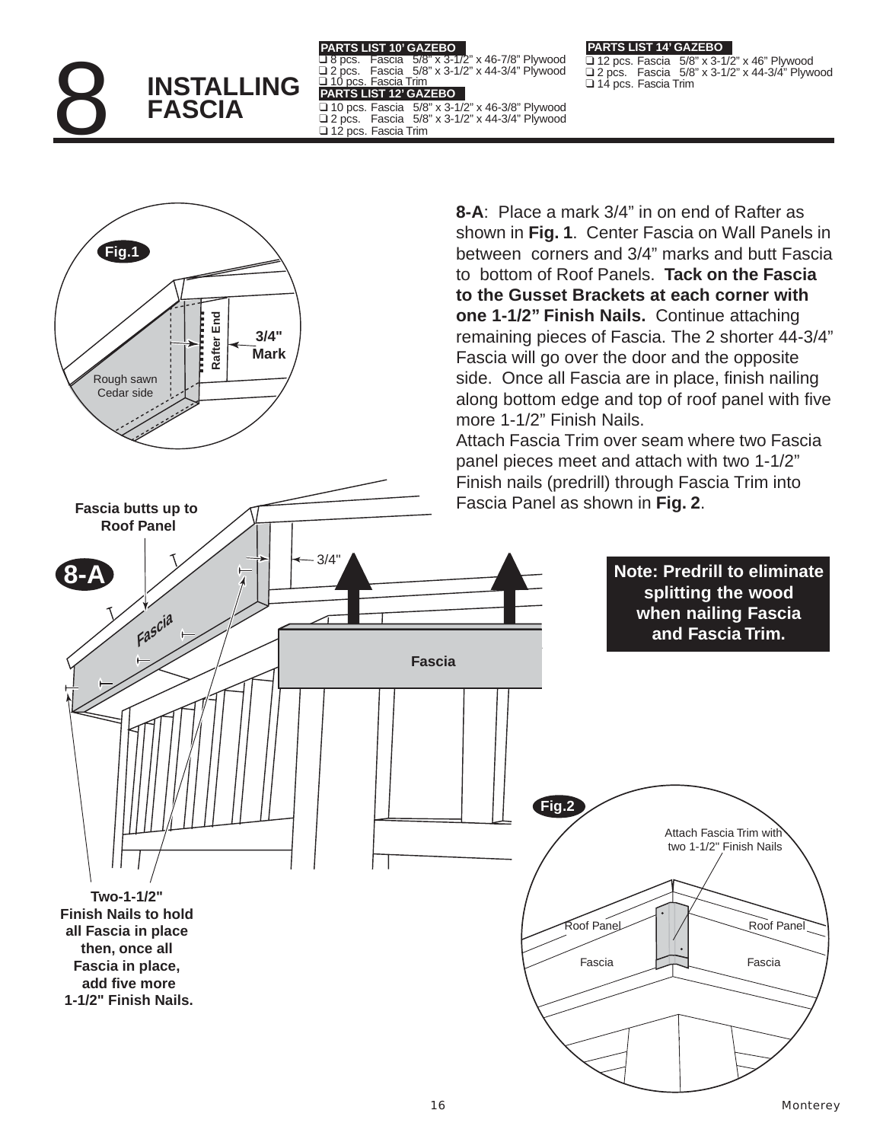

### **PARTS LIST 10' GAZEBO**

❑ 8 pcs. Fascia 5/8" x 3-1/2" x 46-7/8" Plywood ❑ 2 pcs. Fascia 5/8" x 3-1/2" x 44-3/4" Plywood ❑ 10 pcs. Fascia Trim **PARTS LIST 12' GAZEBO** ❑ 10 pcs. Fascia 5/8" x 3-1/2" x 46-3/8" Plywood ❑ 2 pcs. Fascia 5/8" x 3-1/2" x 44-3/4" Plywood ❑ 12 pcs. Fascia Trim

#### **PARTS LIST 14' GAZEBO**

 $\overline{u}$  12 pcs. Fascia 5/8" x 3-1/2" x 46" Plywood ❑ 2 pcs. Fascia 5/8" x 3-1/2" x 44-3/4" Plywood ❑ 14 pcs. Fascia Trim

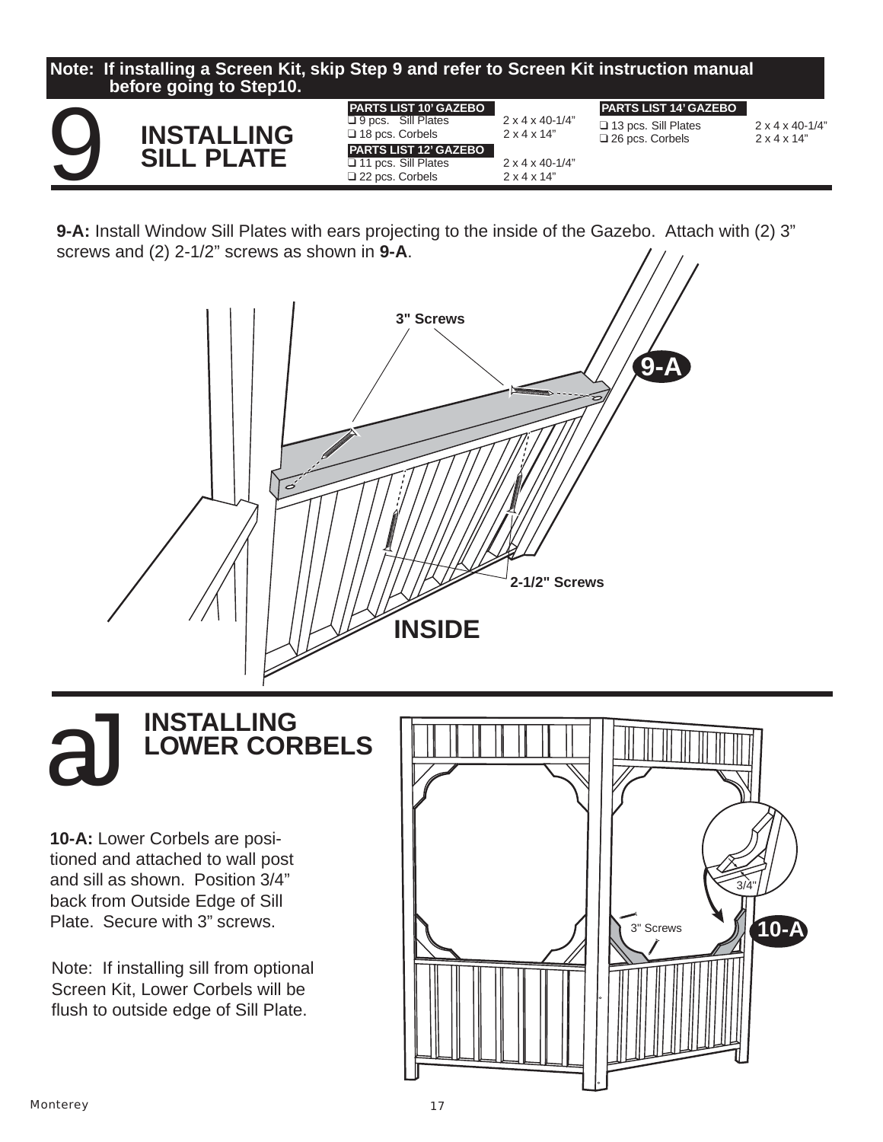

**9-A:** Install Window Sill Plates with ears projecting to the inside of the Gazebo. Attach with (2) 3" screws and (2) 2-1/2" screws as shown in **9-A**.



# **INSTALLING LOWER CORBELS**

**10-A:** Lower Corbels are positioned and attached to wall post and sill as shown. Position 3/4" back from Outside Edge of Sill

Note: If installing sill from optional Screen Kit, Lower Corbels will be flush to outside edge of Sill Plate.

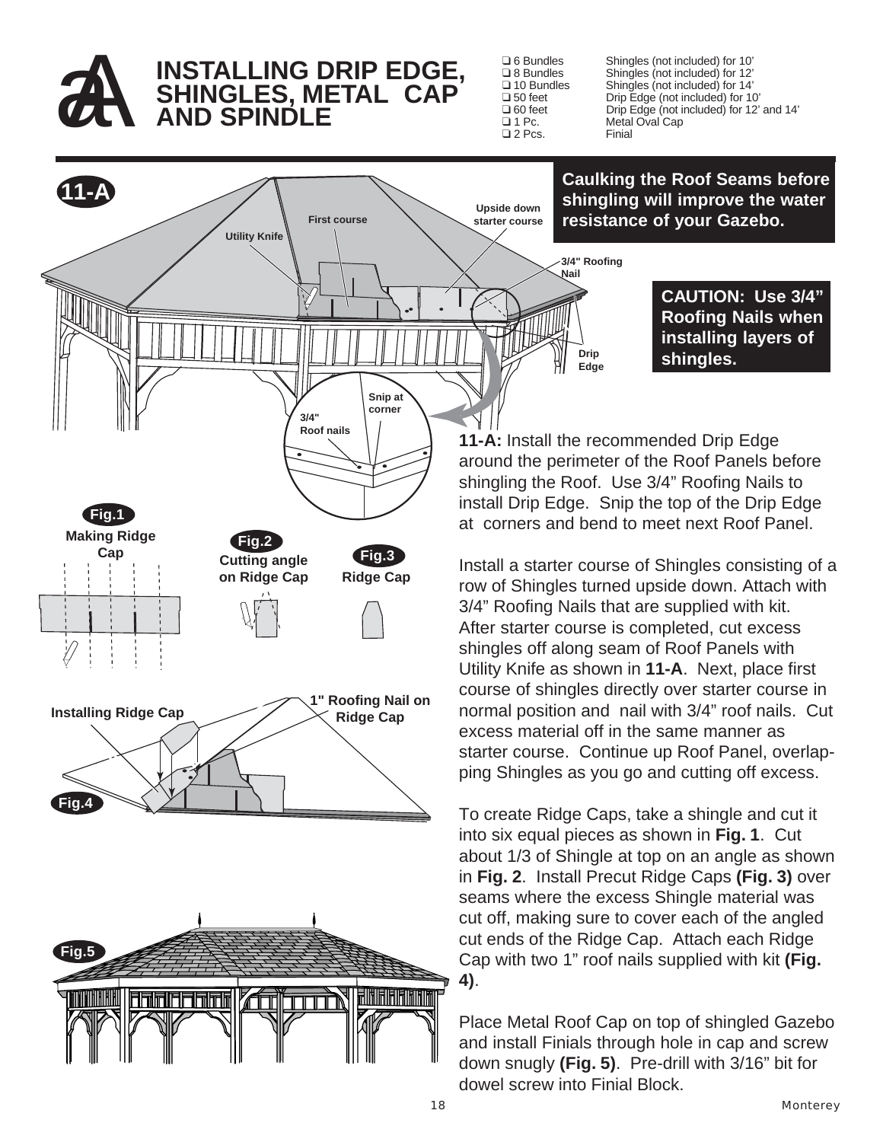

# **AA INSTALLING DRIP EDGE,<br>AND SPINDLE<br>AND SPINDLE SHINGLES, METAL CAP AND SPINDLE**

 $\square$  2 Pcs.

❑ 6 Bundles Shingles (not included) for 10' ❑ 8 Bundles Shingles (not included) for 12' ❑ 10 Bundles Shingles (not included) for 14' ❑ 50 feet Drip Edge (not included) for 10' ❑ 60 feet Drip Edge (not included) for 12' and 14' Metal Oval Cap<br>Finial

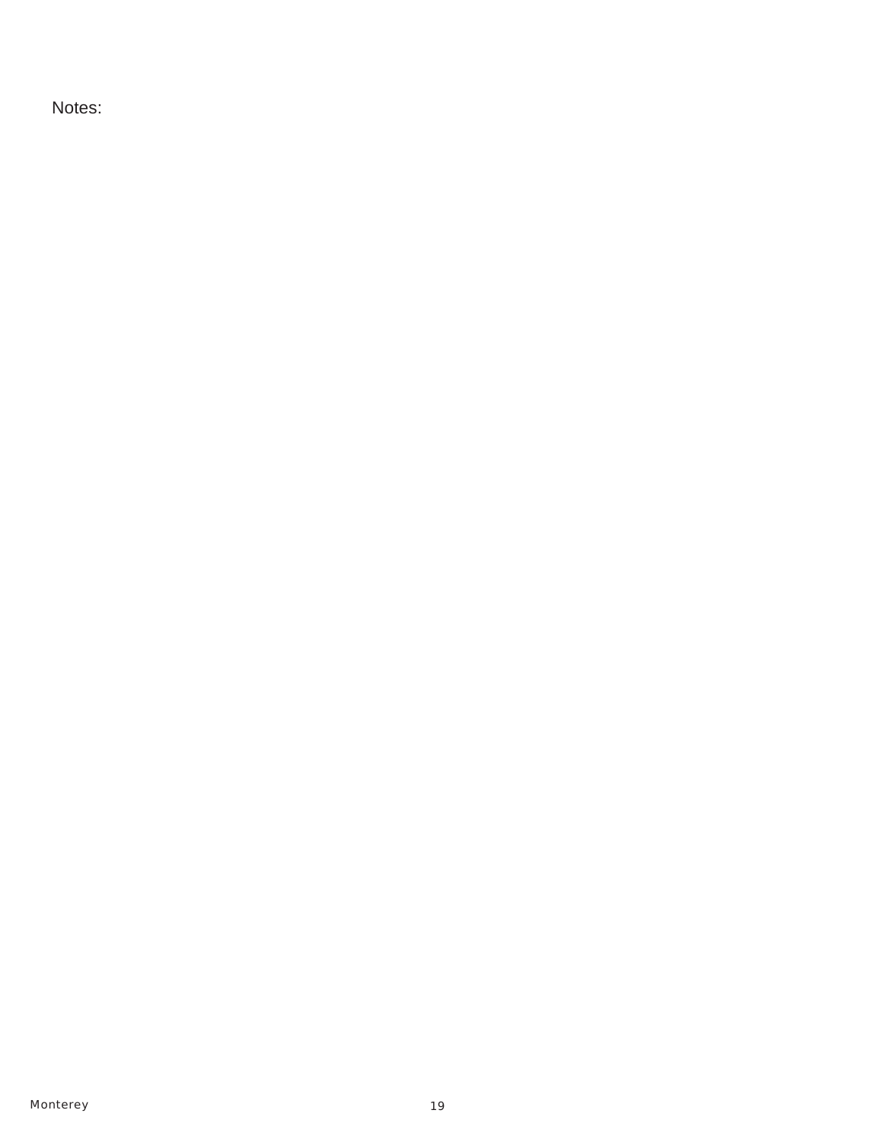Notes: